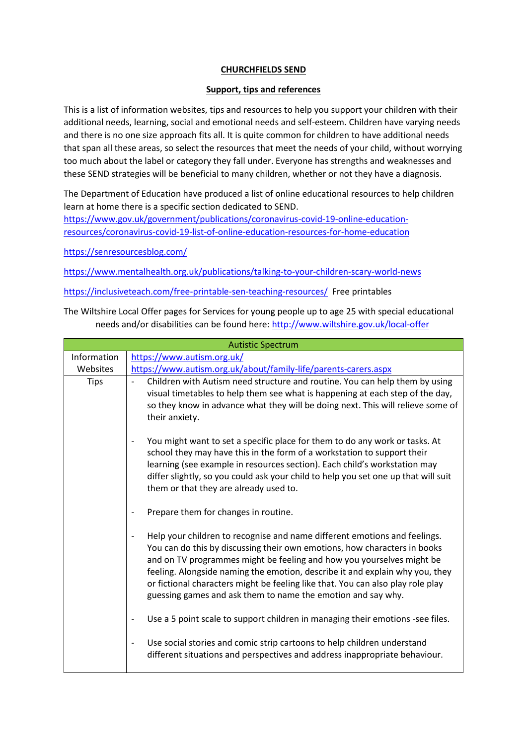## **CHURCHFIELDS SEND**

## **Support, tips and references**

This is a list of information websites, tips and resources to help you support your children with their additional needs, learning, social and emotional needs and self-esteem. Children have varying needs and there is no one size approach fits all. It is quite common for children to have additional needs that span all these areas, so select the resources that meet the needs of your child, without worrying too much about the label or category they fall under. Everyone has strengths and weaknesses and these SEND strategies will be beneficial to many children, whether or not they have a diagnosis.

The Department of Education have produced a list of online educational resources to help children learn at home there is a specific section dedicated to SEND.

[https://www.gov.uk/government/publications/coronavirus-covid-19-online-education](https://www.gov.uk/government/publications/coronavirus-covid-19-online-education-resources/coronavirus-covid-19-list-of-online-education-resources-for-home-education)[resources/coronavirus-covid-19-list-of-online-education-resources-for-home-education](https://www.gov.uk/government/publications/coronavirus-covid-19-online-education-resources/coronavirus-covid-19-list-of-online-education-resources-for-home-education)

<https://senresourcesblog.com/>

https://www.mentalhealth.org.uk/publications/talking-to-your-children-scary-world-news

<https://inclusiveteach.com/free-printable-sen-teaching-resources/>Free printables

The Wiltshire Local Offer pages for Services for young people up to age 25 with special educational needs and/or disabilities can be found here:<http://www.wiltshire.gov.uk/local-offer>

| <b>Autistic Spectrum</b> |                                                                                                                                                                                                                                                                                                                                                                                                                                                                    |  |
|--------------------------|--------------------------------------------------------------------------------------------------------------------------------------------------------------------------------------------------------------------------------------------------------------------------------------------------------------------------------------------------------------------------------------------------------------------------------------------------------------------|--|
| Information              | https://www.autism.org.uk/                                                                                                                                                                                                                                                                                                                                                                                                                                         |  |
| Websites                 | https://www.autism.org.uk/about/family-life/parents-carers.aspx                                                                                                                                                                                                                                                                                                                                                                                                    |  |
| <b>Tips</b>              | Children with Autism need structure and routine. You can help them by using<br>visual timetables to help them see what is happening at each step of the day,<br>so they know in advance what they will be doing next. This will relieve some of<br>their anxiety.                                                                                                                                                                                                  |  |
|                          | You might want to set a specific place for them to do any work or tasks. At<br>school they may have this in the form of a workstation to support their<br>learning (see example in resources section). Each child's workstation may<br>differ slightly, so you could ask your child to help you set one up that will suit<br>them or that they are already used to.                                                                                                |  |
|                          | Prepare them for changes in routine.                                                                                                                                                                                                                                                                                                                                                                                                                               |  |
|                          | Help your children to recognise and name different emotions and feelings.<br>You can do this by discussing their own emotions, how characters in books<br>and on TV programmes might be feeling and how you yourselves might be<br>feeling. Alongside naming the emotion, describe it and explain why you, they<br>or fictional characters might be feeling like that. You can also play role play<br>guessing games and ask them to name the emotion and say why. |  |
|                          | Use a 5 point scale to support children in managing their emotions -see files.                                                                                                                                                                                                                                                                                                                                                                                     |  |
|                          | Use social stories and comic strip cartoons to help children understand<br>different situations and perspectives and address inappropriate behaviour.                                                                                                                                                                                                                                                                                                              |  |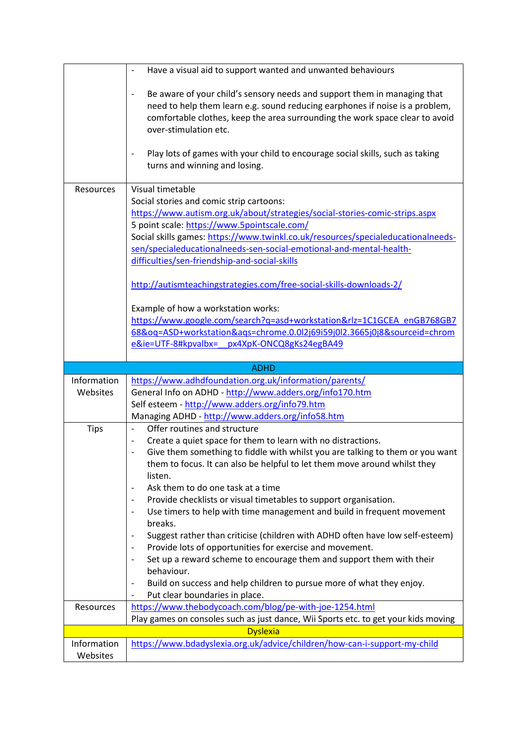|             | Have a visual aid to support wanted and unwanted behaviours                                                                                              |
|-------------|----------------------------------------------------------------------------------------------------------------------------------------------------------|
|             | Be aware of your child's sensory needs and support them in managing that<br>need to help them learn e.g. sound reducing earphones if noise is a problem, |
|             | comfortable clothes, keep the area surrounding the work space clear to avoid<br>over-stimulation etc.                                                    |
|             | Play lots of games with your child to encourage social skills, such as taking<br>turns and winning and losing.                                           |
| Resources   | Visual timetable                                                                                                                                         |
|             | Social stories and comic strip cartoons:                                                                                                                 |
|             | https://www.autism.org.uk/about/strategies/social-stories-comic-strips.aspx                                                                              |
|             | 5 point scale: https://www.5pointscale.com/                                                                                                              |
|             | Social skills games: https://www.twinkl.co.uk/resources/specialeducationalneeds-                                                                         |
|             | sen/specialeducationalneeds-sen-social-emotional-and-mental-health-                                                                                      |
|             | difficulties/sen-friendship-and-social-skills                                                                                                            |
|             | http://autismteachingstrategies.com/free-social-skills-downloads-2/                                                                                      |
|             | Example of how a workstation works:                                                                                                                      |
|             | https://www.google.com/search?q=asd+workstation&rlz=1C1GCEA enGB768GB7                                                                                   |
|             | 68&oq=ASD+workstation&ags=chrome.0.0l2j69i59j0l2.3665j0j8&sourceid=chrom                                                                                 |
|             | e&ie=UTF-8#kpvalbx=<br>px4XpK-ONCQ8gKs24egBA49                                                                                                           |
|             |                                                                                                                                                          |
|             |                                                                                                                                                          |
|             | <b>ADHD</b>                                                                                                                                              |
| Information | https://www.adhdfoundation.org.uk/information/parents/                                                                                                   |
| Websites    | General Info on ADHD - http://www.adders.org/info170.htm                                                                                                 |
|             | Self esteem - http://www.adders.org/info79.htm                                                                                                           |
|             | Managing ADHD - http://www.adders.org/info58.htm                                                                                                         |
| <b>Tips</b> | Offer routines and structure<br>$\overline{\phantom{0}}$                                                                                                 |
|             | Create a quiet space for them to learn with no distractions.                                                                                             |
|             | Give them something to fiddle with whilst you are talking to them or you want                                                                            |
|             | them to focus. It can also be helpful to let them move around whilst they                                                                                |
|             | listen.                                                                                                                                                  |
|             | Ask them to do one task at a time<br>$\overline{\phantom{a}}$                                                                                            |
|             | Provide checklists or visual timetables to support organisation.                                                                                         |
|             | Use timers to help with time management and build in frequent movement                                                                                   |
|             | breaks.                                                                                                                                                  |
|             | Suggest rather than criticise (children with ADHD often have low self-esteem)<br>$\overline{\phantom{a}}$                                                |
|             | Provide lots of opportunities for exercise and movement.                                                                                                 |
|             | Set up a reward scheme to encourage them and support them with their                                                                                     |
|             | behaviour.                                                                                                                                               |
|             | Build on success and help children to pursue more of what they enjoy.                                                                                    |
| Resources   | Put clear boundaries in place.                                                                                                                           |
|             | https://www.thebodycoach.com/blog/pe-with-joe-1254.html<br>Play games on consoles such as just dance, Wii Sports etc. to get your kids moving            |
|             | <b>Dyslexia</b>                                                                                                                                          |
| Information | https://www.bdadyslexia.org.uk/advice/children/how-can-i-support-my-child                                                                                |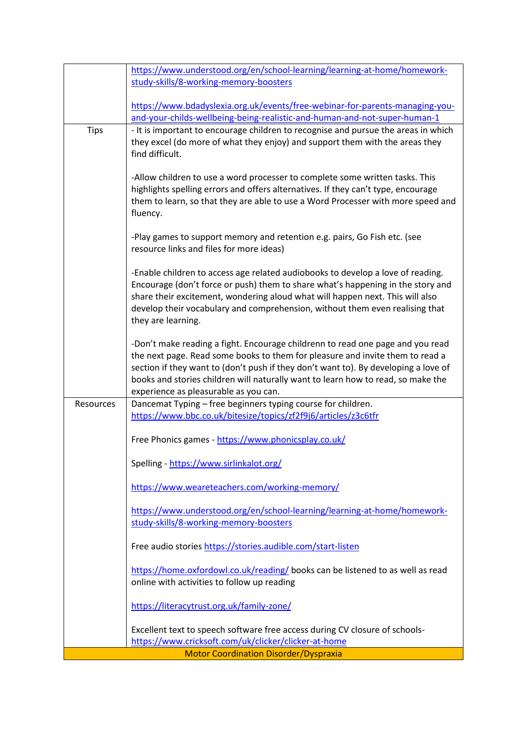|             | https://www.understood.org/en/school-learning/learning-at-home/homework-                                                                                              |
|-------------|-----------------------------------------------------------------------------------------------------------------------------------------------------------------------|
|             | study-skills/8-working-memory-boosters                                                                                                                                |
|             |                                                                                                                                                                       |
|             | https://www.bdadyslexia.org.uk/events/free-webinar-for-parents-managing-you-                                                                                          |
|             | and-your-childs-wellbeing-being-realistic-and-human-and-not-super-human-1                                                                                             |
| <b>Tips</b> | - It is important to encourage children to recognise and pursue the areas in which                                                                                    |
|             | they excel (do more of what they enjoy) and support them with the areas they                                                                                          |
|             | find difficult.                                                                                                                                                       |
|             |                                                                                                                                                                       |
|             | -Allow children to use a word processer to complete some written tasks. This                                                                                          |
|             | highlights spelling errors and offers alternatives. If they can't type, encourage<br>them to learn, so that they are able to use a Word Processer with more speed and |
|             | fluency.                                                                                                                                                              |
|             |                                                                                                                                                                       |
|             | -Play games to support memory and retention e.g. pairs, Go Fish etc. (see                                                                                             |
|             | resource links and files for more ideas)                                                                                                                              |
|             |                                                                                                                                                                       |
|             | -Enable children to access age related audiobooks to develop a love of reading.                                                                                       |
|             | Encourage (don't force or push) them to share what's happening in the story and                                                                                       |
|             | share their excitement, wondering aloud what will happen next. This will also                                                                                         |
|             | develop their vocabulary and comprehension, without them even realising that<br>they are learning.                                                                    |
|             |                                                                                                                                                                       |
|             | -Don't make reading a fight. Encourage childrenn to read one page and you read                                                                                        |
|             | the next page. Read some books to them for pleasure and invite them to read a                                                                                         |
|             | section if they want to (don't push if they don't want to). By developing a love of                                                                                   |
|             | books and stories children will naturally want to learn how to read, so make the                                                                                      |
|             | experience as pleasurable as you can.                                                                                                                                 |
| Resources   | Dancemat Typing - free beginners typing course for children.                                                                                                          |
|             | https://www.bbc.co.uk/bitesize/topics/zf2f9j6/articles/z3c6tfr                                                                                                        |
|             |                                                                                                                                                                       |
|             | Free Phonics games - https://www.phonicsplay.co.uk/                                                                                                                   |
|             | Spelling - https://www.sirlinkalot.org/                                                                                                                               |
|             |                                                                                                                                                                       |
|             | https://www.weareteachers.com/working-memory/                                                                                                                         |
|             |                                                                                                                                                                       |
|             | https://www.understood.org/en/school-learning/learning-at-home/homework-                                                                                              |
|             | study-skills/8-working-memory-boosters                                                                                                                                |
|             |                                                                                                                                                                       |
|             | Free audio stories https://stories.audible.com/start-listen                                                                                                           |
|             | https://home.oxfordowl.co.uk/reading/ books can be listened to as well as read                                                                                        |
|             | online with activities to follow up reading                                                                                                                           |
|             |                                                                                                                                                                       |
|             | https://literacytrust.org.uk/family-zone/                                                                                                                             |
|             |                                                                                                                                                                       |
|             | Excellent text to speech software free access during CV closure of schools-                                                                                           |
|             | https://www.cricksoft.com/uk/clicker/clicker-at-home                                                                                                                  |
|             | <b>Motor Coordination Disorder/Dyspraxia</b>                                                                                                                          |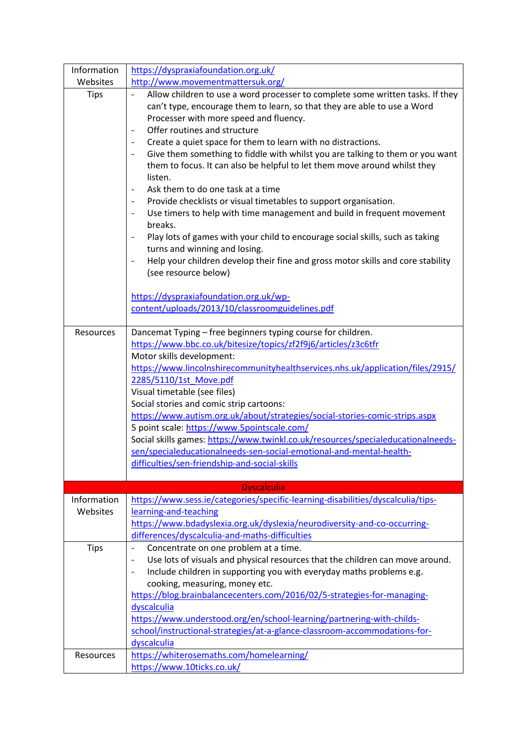| Information             | https://dyspraxiafoundation.org.uk/                                                                                                                                                                                                                                                                                                                                                                                                                                                                                                                                                                                                                                                                                                                                                                                                                                                                                                                                                                                                   |
|-------------------------|---------------------------------------------------------------------------------------------------------------------------------------------------------------------------------------------------------------------------------------------------------------------------------------------------------------------------------------------------------------------------------------------------------------------------------------------------------------------------------------------------------------------------------------------------------------------------------------------------------------------------------------------------------------------------------------------------------------------------------------------------------------------------------------------------------------------------------------------------------------------------------------------------------------------------------------------------------------------------------------------------------------------------------------|
| Websites                | http://www.movementmattersuk.org/                                                                                                                                                                                                                                                                                                                                                                                                                                                                                                                                                                                                                                                                                                                                                                                                                                                                                                                                                                                                     |
| <b>Tips</b>             | Allow children to use a word processer to complete some written tasks. If they<br>can't type, encourage them to learn, so that they are able to use a Word<br>Processer with more speed and fluency.<br>Offer routines and structure<br>Create a quiet space for them to learn with no distractions.<br>Give them something to fiddle with whilst you are talking to them or you want<br>them to focus. It can also be helpful to let them move around whilst they<br>listen.<br>Ask them to do one task at a time<br>Provide checklists or visual timetables to support organisation.<br>$\qquad \qquad \blacksquare$<br>Use timers to help with time management and build in frequent movement<br>breaks.<br>Play lots of games with your child to encourage social skills, such as taking<br>turns and winning and losing.<br>Help your children develop their fine and gross motor skills and core stability<br>(see resource below)<br>https://dyspraxiafoundation.org.uk/wp-<br>content/uploads/2013/10/classroomguidelines.pdf |
| Resources               | Dancemat Typing - free beginners typing course for children.<br>https://www.bbc.co.uk/bitesize/topics/zf2f9j6/articles/z3c6tfr<br>Motor skills development:<br>https://www.lincolnshirecommunityhealthservices.nhs.uk/application/files/2915/                                                                                                                                                                                                                                                                                                                                                                                                                                                                                                                                                                                                                                                                                                                                                                                         |
|                         | 2285/5110/1st_Move.pdf<br>Visual timetable (see files)<br>Social stories and comic strip cartoons:<br>https://www.autism.org.uk/about/strategies/social-stories-comic-strips.aspx<br>5 point scale: https://www.5pointscale.com/<br>Social skills games: https://www.twinkl.co.uk/resources/specialeducationalneeds-<br>sen/specialeducationalneeds-sen-social-emotional-and-mental-health-<br>difficulties/sen-friendship-and-social-skills                                                                                                                                                                                                                                                                                                                                                                                                                                                                                                                                                                                          |
|                         | <b>Dyscalculia</b>                                                                                                                                                                                                                                                                                                                                                                                                                                                                                                                                                                                                                                                                                                                                                                                                                                                                                                                                                                                                                    |
| Information<br>Websites | https://www.sess.ie/categories/specific-learning-disabilities/dyscalculia/tips-<br>learning-and-teaching<br>https://www.bdadyslexia.org.uk/dyslexia/neurodiversity-and-co-occurring-<br>differences/dyscalculia-and-maths-difficulties                                                                                                                                                                                                                                                                                                                                                                                                                                                                                                                                                                                                                                                                                                                                                                                                |
| Tips                    | Concentrate on one problem at a time.<br>-<br>Use lots of visuals and physical resources that the children can move around.<br>Include children in supporting you with everyday maths problems e.g.<br>cooking, measuring, money etc.<br>https://blog.brainbalancecenters.com/2016/02/5-strategies-for-managing-<br>dyscalculia<br>https://www.understood.org/en/school-learning/partnering-with-childs-<br>school/instructional-strategies/at-a-glance-classroom-accommodations-for-<br>dyscalculia                                                                                                                                                                                                                                                                                                                                                                                                                                                                                                                                  |
| Resources               | https://whiterosemaths.com/homelearning/<br>https://www.10ticks.co.uk/                                                                                                                                                                                                                                                                                                                                                                                                                                                                                                                                                                                                                                                                                                                                                                                                                                                                                                                                                                |